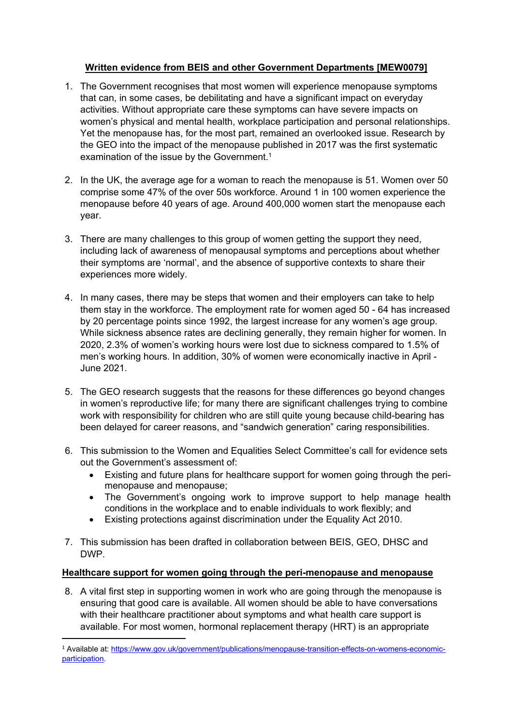# **Written evidence from BEIS and other Government Departments [MEW0079]**

- 1. The Government recognises that most women will experience menopause symptoms that can, in some cases, be debilitating and have a significant impact on everyday activities. Without appropriate care these symptoms can have severe impacts on women's physical and mental health, workplace participation and personal relationships. Yet the menopause has, for the most part, remained an overlooked issue. Research by the GEO into the impact of the menopause published in 2017 was the first systematic examination of the issue by the Government.<sup>1</sup>
- 2. In the UK, the average age for a woman to reach the menopause is 51. Women over 50 comprise some 47% of the over 50s workforce. Around 1 in 100 women experience the menopause before 40 years of age. Around 400,000 women start the menopause each year.
- 3. There are many challenges to this group of women getting the support they need, including lack of awareness of menopausal symptoms and perceptions about whether their symptoms are 'normal', and the absence of supportive contexts to share their experiences more widely.
- 4. In many cases, there may be steps that women and their employers can take to help them stay in the workforce. The employment rate for women aged 50 - 64 has increased by 20 percentage points since 1992, the largest increase for any women's age group. While sickness absence rates are declining generally, they remain higher for women. In 2020, 2.3% of women's working hours were lost due to sickness compared to 1.5% of men's working hours. In addition, 30% of women were economically inactive in April - June 2021.
- 5. The GEO research suggests that the reasons for these differences go beyond changes in women's reproductive life; for many there are significant challenges trying to combine work with responsibility for children who are still quite young because child-bearing has been delayed for career reasons, and "sandwich generation" caring responsibilities.
- 6. This submission to the Women and Equalities Select Committee's call for evidence sets out the Government's assessment of:
	- Existing and future plans for healthcare support for women going through the perimenopause and menopause;
	- The Government's ongoing work to improve support to help manage health conditions in the workplace and to enable individuals to work flexibly; and
	- Existing protections against discrimination under the Equality Act 2010.
- 7. This submission has been drafted in collaboration between BEIS, GEO, DHSC and DWP.

## **Healthcare support for women going through the peri-menopause and menopause**

8. A vital first step in supporting women in work who are going through the menopause is ensuring that good care is available. All women should be able to have conversations with their healthcare practitioner about symptoms and what health care support is available. For most women, hormonal replacement therapy (HRT) is an appropriate

<sup>1</sup> Available at: [https://www.gov.uk/government/publications/menopause-transition-effects-on-womens-economic](https://www.gov.uk/government/publications/menopause-transition-effects-on-womens-economic-participation)[participation.](https://www.gov.uk/government/publications/menopause-transition-effects-on-womens-economic-participation)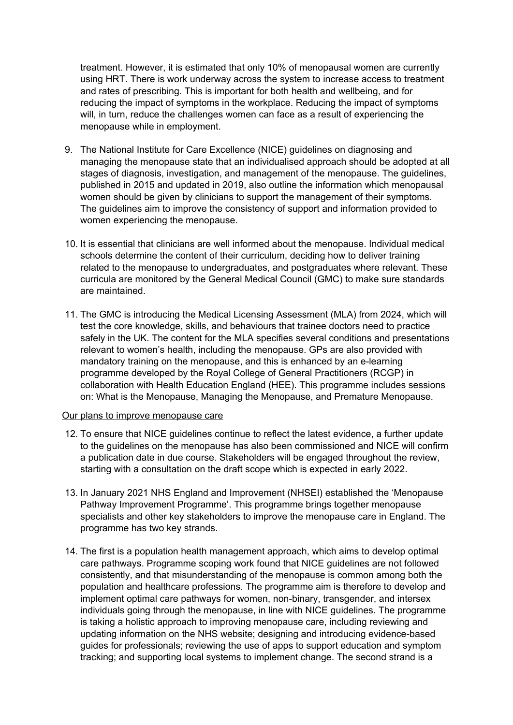treatment. However, it is estimated that only 10% of menopausal women are currently using HRT. There is work underway across the system to increase access to treatment and rates of prescribing. This is important for both health and wellbeing, and for reducing the impact of symptoms in the workplace. Reducing the impact of symptoms will, in turn, reduce the challenges women can face as a result of experiencing the menopause while in employment.

- 9. The National Institute for Care Excellence (NICE) guidelines on diagnosing and managing the menopause state that an individualised approach should be adopted at all stages of diagnosis, investigation, and management of the menopause. The guidelines, published in 2015 and updated in 2019, also outline the information which menopausal women should be given by clinicians to support the management of their symptoms. The guidelines aim to improve the consistency of support and information provided to women experiencing the menopause.
- 10. It is essential that clinicians are well informed about the menopause. Individual medical schools determine the content of their curriculum, deciding how to deliver training related to the menopause to undergraduates, and postgraduates where relevant. These curricula are monitored by the General Medical Council (GMC) to make sure standards are maintained.
- 11. The GMC is introducing the Medical Licensing Assessment (MLA) from 2024, which will test the core knowledge, skills, and behaviours that trainee doctors need to practice safely in the UK. The content for the MLA specifies several conditions and presentations relevant to women's health, including the menopause. GPs are also provided with mandatory training on the menopause, and this is enhanced by an e-learning programme developed by the Royal College of General Practitioners (RCGP) in collaboration with Health Education England (HEE). This programme includes sessions on: What is the Menopause, Managing the Menopause, and Premature Menopause.

### Our plans to improve menopause care

- 12. To ensure that NICE guidelines continue to reflect the latest evidence, a further update to the guidelines on the menopause has also been commissioned and NICE will confirm a publication date in due course. Stakeholders will be engaged throughout the review, starting with a consultation on the draft scope which is expected in early 2022.
- 13. In January 2021 NHS England and Improvement (NHSEI) established the 'Menopause Pathway Improvement Programme'. This programme brings together menopause specialists and other key stakeholders to improve the menopause care in England. The programme has two key strands.
- 14. The first is a population health management approach, which aims to develop optimal care pathways. Programme scoping work found that NICE guidelines are not followed consistently, and that misunderstanding of the menopause is common among both the population and healthcare professions. The programme aim is therefore to develop and implement optimal care pathways for women, non-binary, transgender, and intersex individuals going through the menopause, in line with NICE guidelines. The programme is taking a holistic approach to improving menopause care, including reviewing and updating information on the NHS website; designing and introducing evidence-based guides for professionals; reviewing the use of apps to support education and symptom tracking; and supporting local systems to implement change. The second strand is a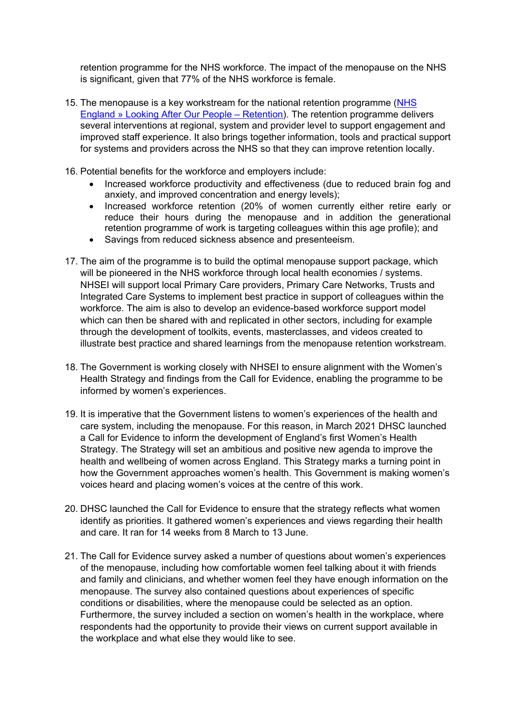retention programme for the NHS workforce. The impact of the menopause on the NHS is significant, given that 77% of the NHS workforce is female.

- 15. The menopause is a key workstream for the national retention programme ([NHS](https://www.england.nhs.uk/looking-after-our-people/) [England](https://www.england.nhs.uk/looking-after-our-people/) [»](https://www.england.nhs.uk/looking-after-our-people/) [Looking](https://www.england.nhs.uk/looking-after-our-people/) [After](https://www.england.nhs.uk/looking-after-our-people/) [Our](https://www.england.nhs.uk/looking-after-our-people/) [People](https://www.england.nhs.uk/looking-after-our-people/) [–](https://www.england.nhs.uk/looking-after-our-people/) [Retention\)](https://www.england.nhs.uk/looking-after-our-people/). The retention programme delivers several interventions at regional, system and provider level to support engagement and improved staff experience. It also brings together information, tools and practical support for systems and providers across the NHS so that they can improve retention locally.
- 16. Potential benefits for the workforce and employers include:
	- Increased workforce productivity and effectiveness (due to reduced brain fog and anxiety, and improved concentration and energy levels);
	- Increased workforce retention (20% of women currently either retire early or reduce their hours during the menopause and in addition the generational retention programme of work is targeting colleagues within this age profile); and
	- Savings from reduced sickness absence and presenteeism.
- 17. The aim of the programme is to build the optimal menopause support package, which will be pioneered in the NHS workforce through local health economies / systems. NHSEI will support local Primary Care providers, Primary Care Networks, Trusts and Integrated Care Systems to implement best practice in support of colleagues within the workforce. The aim is also to develop an evidence-based workforce support model which can then be shared with and replicated in other sectors, including for example through the development of toolkits, events, masterclasses, and videos created to illustrate best practice and shared learnings from the menopause retention workstream.
- 18. The Government is working closely with NHSEI to ensure alignment with the Women's Health Strategy and findings from the Call for Evidence, enabling the programme to be informed by women's experiences.
- 19. It is imperative that the Government listens to women's experiences of the health and care system, including the menopause. For this reason, in March 2021 DHSC launched a Call for Evidence to inform the development of England's first Women's Health Strategy. The Strategy will set an ambitious and positive new agenda to improve the health and wellbeing of women across England. This Strategy marks a turning point in how the Government approaches women's health. This Government is making women's voices heard and placing women's voices at the centre of this work.
- 20. DHSC launched the Call for Evidence to ensure that the strategy reflects what women identify as priorities. It gathered women's experiences and views regarding their health and care. It ran for 14 weeks from 8 March to 13 June.
- 21. The Call for Evidence survey asked a number of questions about women's experiences of the menopause, including how comfortable women feel talking about it with friends and family and clinicians, and whether women feel they have enough information on the menopause. The survey also contained questions about experiences of specific conditions or disabilities, where the menopause could be selected as an option. Furthermore, the survey included a section on women's health in the workplace, where respondents had the opportunity to provide their views on current support available in the workplace and what else they would like to see.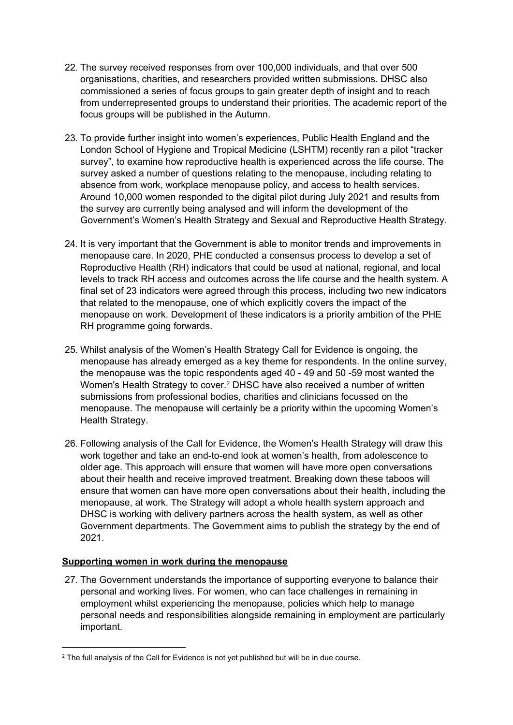- 22. The survey received responses from over 100,000 individuals, and that over 500 organisations, charities, and researchers provided written submissions. DHSC also commissioned a series of focus groups to gain greater depth of insight and to reach from underrepresented groups to understand their priorities. The academic report of the focus groups will be published in the Autumn.
- 23. To provide further insight into women's experiences, Public Health England and the London School of Hygiene and Tropical Medicine (LSHTM) recently ran a pilot "tracker survey", to examine how reproductive health is experienced across the life course. The survey asked a number of questions relating to the menopause, including relating to absence from work, workplace menopause policy, and access to health services. Around 10,000 women responded to the digital pilot during July 2021 and results from the survey are currently being analysed and will inform the development of the Government's Women's Health Strategy and Sexual and Reproductive Health Strategy.
- 24. It is very important that the Government is able to monitor trends and improvements in menopause care. In 2020, PHE conducted a consensus process to develop a set of Reproductive Health (RH) indicators that could be used at national, regional, and local levels to track RH access and outcomes across the life course and the health system. A final set of 23 indicators were agreed through this process, including two new indicators that related to the menopause, one of which explicitly covers the impact of the menopause on work. Development of these indicators is a priority ambition of the PHE RH programme going forwards.
- 25. Whilst analysis of the Women's Health Strategy Call for Evidence is ongoing, the menopause has already emerged as a key theme for respondents. In the online survey, the menopause was the topic respondents aged 40 - 49 and 50 -59 most wanted the Women's Health Strategy to cover.<sup>2</sup> DHSC have also received a number of written submissions from professional bodies, charities and clinicians focussed on the menopause. The menopause will certainly be a priority within the upcoming Women's Health Strategy.
- 26. Following analysis of the Call for Evidence, the Women's Health Strategy will draw this work together and take an end-to-end look at women's health, from adolescence to older age. This approach will ensure that women will have more open conversations about their health and receive improved treatment. Breaking down these taboos will ensure that women can have more open conversations about their health, including the menopause, at work. The Strategy will adopt a whole health system approach and DHSC is working with delivery partners across the health system, as well as other Government departments. The Government aims to publish the strategy by the end of 2021.

# **Supporting women in work during the menopause**

27. The Government understands the importance of supporting everyone to balance their personal and working lives. For women, who can face challenges in remaining in employment whilst experiencing the menopause, policies which help to manage personal needs and responsibilities alongside remaining in employment are particularly important.

 $2$  The full analysis of the Call for Evidence is not yet published but will be in due course.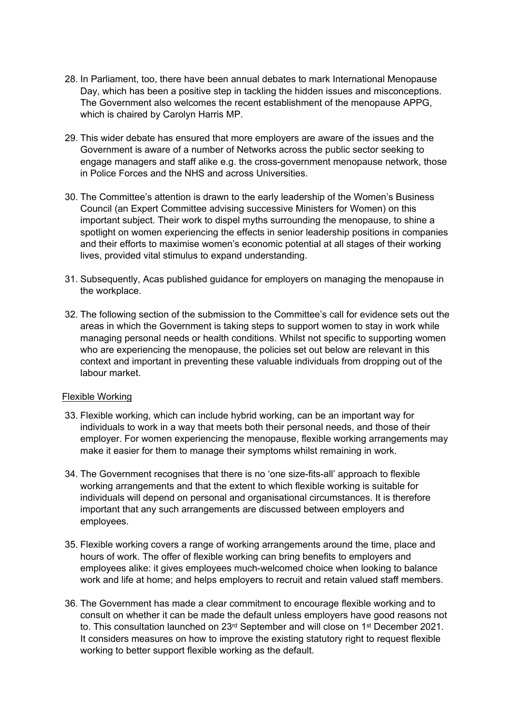- 28. In Parliament, too, there have been annual debates to mark International Menopause Day, which has been a positive step in tackling the hidden issues and misconceptions. The Government also welcomes the recent establishment of the menopause APPG, which is chaired by Carolyn Harris MP.
- 29. This wider debate has ensured that more employers are aware of the issues and the Government is aware of a number of Networks across the public sector seeking to engage managers and staff alike e.g. the cross-government menopause network, those in Police Forces and the NHS and across Universities.
- 30. The Committee's attention is drawn to the early leadership of the Women's Business Council (an Expert Committee advising successive Ministers for Women) on this important subject. Their work to dispel myths surrounding the menopause, to shine a spotlight on women experiencing the effects in senior leadership positions in companies and their efforts to maximise women's economic potential at all stages of their working lives, provided vital stimulus to expand understanding.
- 31. Subsequently, Acas published guidance for employers on managing the menopause in the workplace.
- 32. The following section of the submission to the Committee's call for evidence sets out the areas in which the Government is taking steps to support women to stay in work while managing personal needs or health conditions. Whilst not specific to supporting women who are experiencing the menopause, the policies set out below are relevant in this context and important in preventing these valuable individuals from dropping out of the labour market.

## Flexible Working

- 33. Flexible working, which can include hybrid working, can be an important way for individuals to work in a way that meets both their personal needs, and those of their employer. For women experiencing the menopause, flexible working arrangements may make it easier for them to manage their symptoms whilst remaining in work.
- 34. The Government recognises that there is no 'one size-fits-all' approach to flexible working arrangements and that the extent to which flexible working is suitable for individuals will depend on personal and organisational circumstances. It is therefore important that any such arrangements are discussed between employers and employees.
- 35. Flexible working covers a range of working arrangements around the time, place and hours of work. The offer of flexible working can bring benefits to employers and employees alike: it gives employees much-welcomed choice when looking to balance work and life at home; and helps employers to recruit and retain valued staff members.
- 36. The Government has made a clear commitment to encourage flexible working and to consult on whether it can be made the default unless employers have good reasons not to. This consultation launched on 23<sup>rd</sup> September and will close on 1<sup>st</sup> December 2021. It considers measures on how to improve the existing statutory right to request flexible working to better support flexible working as the default.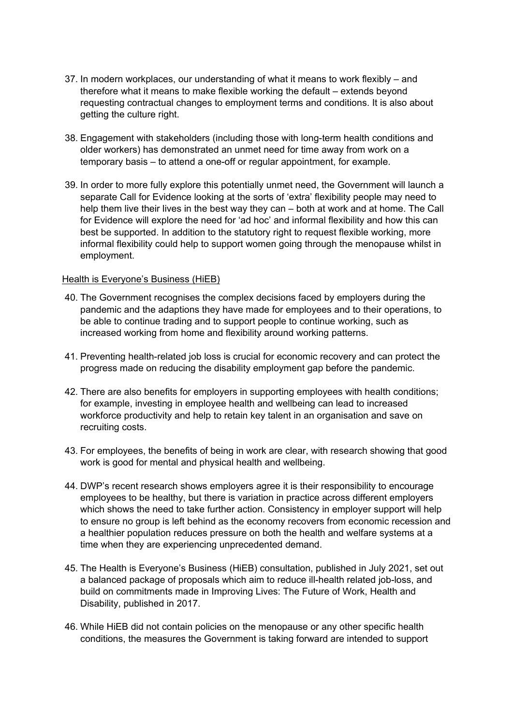- 37. In modern workplaces, our understanding of what it means to work flexibly and therefore what it means to make flexible working the default – extends beyond requesting contractual changes to employment terms and conditions. It is also about getting the culture right.
- 38. Engagement with stakeholders (including those with long-term health conditions and older workers) has demonstrated an unmet need for time away from work on a temporary basis – to attend a one-off or regular appointment, for example.
- 39. In order to more fully explore this potentially unmet need, the Government will launch a separate Call for Evidence looking at the sorts of 'extra' flexibility people may need to help them live their lives in the best way they can – both at work and at home. The Call for Evidence will explore the need for 'ad hoc' and informal flexibility and how this can best be supported. In addition to the statutory right to request flexible working, more informal flexibility could help to support women going through the menopause whilst in employment.

### Health is Everyone's Business (HiEB)

- 40. The Government recognises the complex decisions faced by employers during the pandemic and the adaptions they have made for employees and to their operations, to be able to continue trading and to support people to continue working, such as increased working from home and flexibility around working patterns.
- 41. Preventing health-related job loss is crucial for economic recovery and can protect the progress made on reducing the disability employment gap before the pandemic.
- 42. There are also benefits for employers in supporting employees with health conditions; for example, investing in employee health and wellbeing can lead to increased workforce productivity and help to retain key talent in an organisation and save on recruiting costs.
- 43. For employees, the benefits of being in work are clear, with research showing that good work is good for mental and physical health and wellbeing.
- 44. DWP's recent research shows employers agree it is their responsibility to encourage employees to be healthy, but there is variation in practice across different employers which shows the need to take further action. Consistency in employer support will help to ensure no group is left behind as the economy recovers from economic recession and a healthier population reduces pressure on both the health and welfare systems at a time when they are experiencing unprecedented demand.
- 45. The Health is Everyone's Business (HiEB) consultation, published in July 2021, set out a balanced package of proposals which aim to reduce ill-health related job-loss, and build on commitments made in Improving Lives: The Future of Work, Health and Disability, published in 2017.
- 46. While HiEB did not contain policies on the menopause or any other specific health conditions, the measures the Government is taking forward are intended to support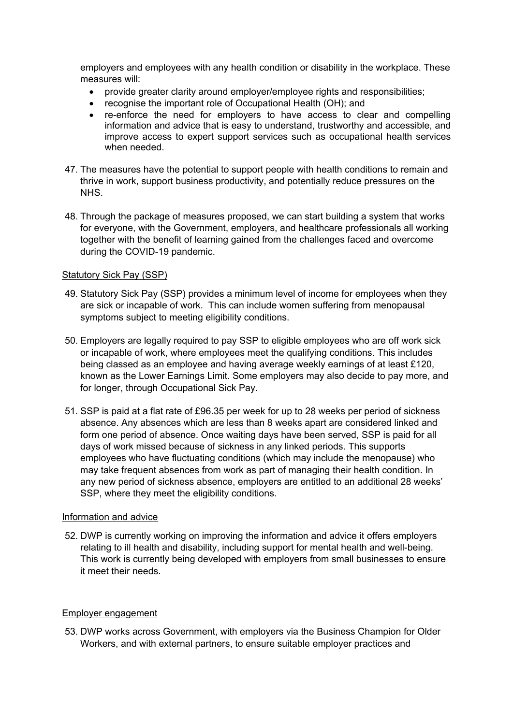employers and employees with any health condition or disability in the workplace. These measures will:

- provide greater clarity around employer/employee rights and responsibilities;
- recognise the important role of Occupational Health (OH); and
- re-enforce the need for employers to have access to clear and compelling information and advice that is easy to understand, trustworthy and accessible, and improve access to expert support services such as occupational health services when needed.
- 47. The measures have the potential to support people with health conditions to remain and thrive in work, support business productivity, and potentially reduce pressures on the NHS.
- 48. Through the package of measures proposed, we can start building a system that works for everyone, with the Government, employers, and healthcare professionals all working together with the benefit of learning gained from the challenges faced and overcome during the COVID-19 pandemic.

### Statutory Sick Pay (SSP)

- 49. Statutory Sick Pay (SSP) provides a minimum level of income for employees when they are sick or incapable of work. This can include women suffering from menopausal symptoms subject to meeting eligibility conditions.
- 50. Employers are legally required to pay SSP to eligible employees who are off work sick or incapable of work, where employees meet the qualifying conditions. This includes being classed as an employee and having average weekly earnings of at least £120, known as the Lower Earnings Limit. Some employers may also decide to pay more, and for longer, through Occupational Sick Pay.
- 51. SSP is paid at a flat rate of £96.35 per week for up to 28 weeks per period of sickness absence. Any absences which are less than 8 weeks apart are considered linked and form one period of absence. Once waiting days have been served, SSP is paid for all days of work missed because of sickness in any linked periods. This supports employees who have fluctuating conditions (which may include the menopause) who may take frequent absences from work as part of managing their health condition. In any new period of sickness absence, employers are entitled to an additional 28 weeks' SSP, where they meet the eligibility conditions.

#### Information and advice

52. DWP is currently working on improving the information and advice it offers employers relating to ill health and disability, including support for mental health and well-being. This work is currently being developed with employers from small businesses to ensure it meet their needs.

#### Employer engagement

53. DWP works across Government, with employers via the Business Champion for Older Workers, and with external partners, to ensure suitable employer practices and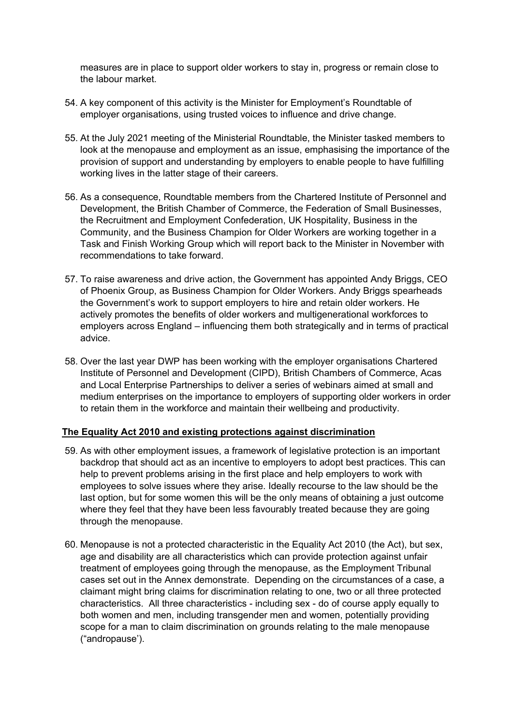measures are in place to support older workers to stay in, progress or remain close to the labour market.

- 54. A key component of this activity is the Minister for Employment's Roundtable of employer organisations, using trusted voices to influence and drive change.
- 55. At the July 2021 meeting of the Ministerial Roundtable, the Minister tasked members to look at the menopause and employment as an issue, emphasising the importance of the provision of support and understanding by employers to enable people to have fulfilling working lives in the latter stage of their careers.
- 56. As a consequence, Roundtable members from the Chartered Institute of Personnel and Development, the British Chamber of Commerce, the Federation of Small Businesses, the Recruitment and Employment Confederation, UK Hospitality, Business in the Community, and the Business Champion for Older Workers are working together in a Task and Finish Working Group which will report back to the Minister in November with recommendations to take forward.
- 57. To raise awareness and drive action, the Government has appointed Andy Briggs, CEO of Phoenix Group, as Business Champion for Older Workers. Andy Briggs spearheads the Government's work to support employers to hire and retain older workers. He actively promotes the benefits of older workers and multigenerational workforces to employers across England – influencing them both strategically and in terms of practical advice.
- 58. Over the last year DWP has been working with the employer organisations Chartered Institute of Personnel and Development (CIPD), British Chambers of Commerce, Acas and Local Enterprise Partnerships to deliver a series of webinars aimed at small and medium enterprises on the importance to employers of supporting older workers in order to retain them in the workforce and maintain their wellbeing and productivity.

## **The Equality Act 2010 and existing protections against discrimination**

- 59. As with other employment issues, a framework of legislative protection is an important backdrop that should act as an incentive to employers to adopt best practices. This can help to prevent problems arising in the first place and help employers to work with employees to solve issues where they arise. Ideally recourse to the law should be the last option, but for some women this will be the only means of obtaining a just outcome where they feel that they have been less favourably treated because they are going through the menopause.
- 60. Menopause is not a protected characteristic in the Equality Act 2010 (the Act), but sex, age and disability are all characteristics which can provide protection against unfair treatment of employees going through the menopause, as the Employment Tribunal cases set out in the Annex demonstrate. Depending on the circumstances of a case, a claimant might bring claims for discrimination relating to one, two or all three protected characteristics. All three characteristics - including sex - do of course apply equally to both women and men, including transgender men and women, potentially providing scope for a man to claim discrimination on grounds relating to the male menopause ("andropause').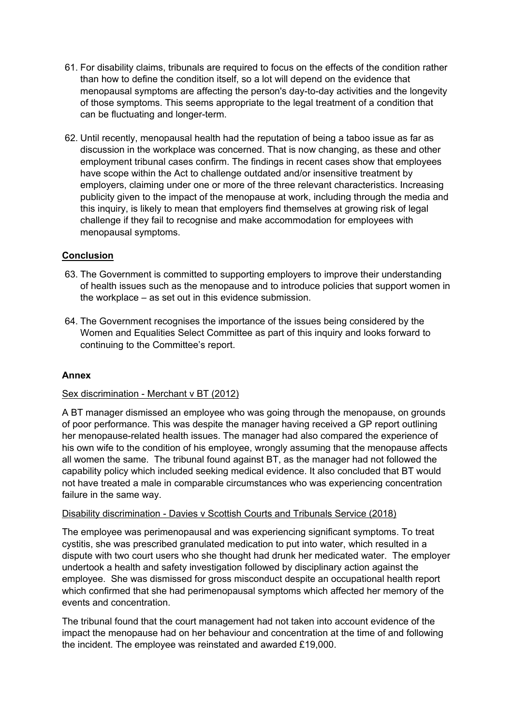- 61. For disability claims, tribunals are required to focus on the effects of the condition rather than how to define the condition itself, so a lot will depend on the evidence that menopausal symptoms are affecting the person's day-to-day activities and the longevity of those symptoms. This seems appropriate to the legal treatment of a condition that can be fluctuating and longer-term.
- 62. Until recently, menopausal health had the reputation of being a taboo issue as far as discussion in the workplace was concerned. That is now changing, as these and other employment tribunal cases confirm. The findings in recent cases show that employees have scope within the Act to challenge outdated and/or insensitive treatment by employers, claiming under one or more of the three relevant characteristics. Increasing publicity given to the impact of the menopause at work, including through the media and this inquiry, is likely to mean that employers find themselves at growing risk of legal challenge if they fail to recognise and make accommodation for employees with menopausal symptoms.

# **Conclusion**

- 63. The Government is committed to supporting employers to improve their understanding of health issues such as the menopause and to introduce policies that support women in the workplace – as set out in this evidence submission.
- 64. The Government recognises the importance of the issues being considered by the Women and Equalities Select Committee as part of this inquiry and looks forward to continuing to the Committee's report.

## **Annex**

## Sex discrimination - Merchant v BT (2012)

A BT manager dismissed an employee who was going through the menopause, on grounds of poor performance. This was despite the manager having received a GP report outlining her menopause-related health issues. The manager had also compared the experience of his own wife to the condition of his employee, wrongly assuming that the menopause affects all women the same. The tribunal found against BT, as the manager had not followed the capability policy which included seeking medical evidence. It also concluded that BT would not have treated a male in comparable circumstances who was experiencing concentration failure in the same way.

## Disability discrimination - Davies v Scottish Courts and Tribunals Service (2018)

The employee was perimenopausal and was experiencing significant symptoms. To treat cystitis, she was prescribed granulated medication to put into water, which resulted in a dispute with two court users who she thought had drunk her medicated water. The employer undertook a health and safety investigation followed by disciplinary action against the employee. She was dismissed for gross misconduct despite an occupational health report which confirmed that she had perimenopausal symptoms which affected her memory of the events and concentration.

The tribunal found that the court management had not taken into account evidence of the impact the menopause had on her behaviour and concentration at the time of and following the incident. The employee was reinstated and awarded £19,000.